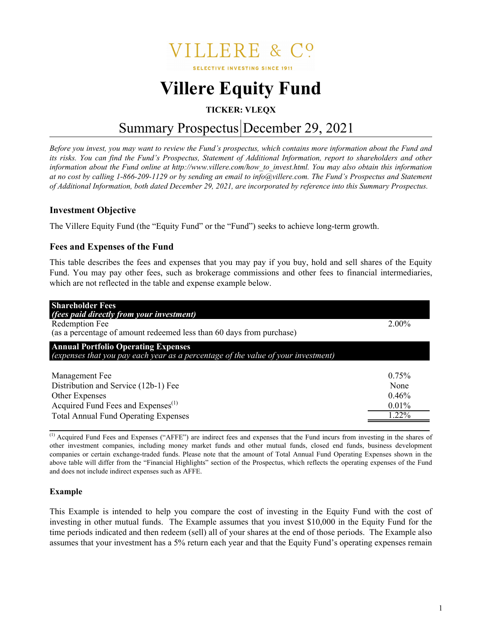

**SELECTIVE INVESTING SINCE 1911** 

# **Villere Equity Fund**

# **TICKER: VLEQX**

# Summary Prospectus December 29, 2021

*Before you invest, you may want to review the Fund's prospectus, which contains more information about the Fund and its risks. You can find the Fund's Prospectus, Statement of Additional Information, report to shareholders and other information about the Fund online at http://www.villere.com/how\_to\_invest.html. You may also obtain this information at no cost by calling 1-866-209-1129 or by sending an email to info@villere.com. The Fund's Prospectus and Statement of Additional Information, both dated December 29, 2021, are incorporated by reference into this Summary Prospectus.* 

# **Investment Objective**

The Villere Equity Fund (the "Equity Fund" or the "Fund") seeks to achieve long-term growth.

# **Fees and Expenses of the Fund**

This table describes the fees and expenses that you may pay if you buy, hold and sell shares of the Equity Fund. You may pay other fees, such as brokerage commissions and other fees to financial intermediaries, which are not reflected in the table and expense example below.

| <b>Shareholder Fees</b><br>(fees paid directly from your investment)<br>Redemption Fee<br>(as a percentage of amount redeemed less than 60 days from purchase)            | 2.00%                                   |
|---------------------------------------------------------------------------------------------------------------------------------------------------------------------------|-----------------------------------------|
| <b>Annual Portfolio Operating Expenses</b><br>(expenses that you pay each year as a percentage of the value of your investment)                                           |                                         |
| Management Fee<br>Distribution and Service (12b-1) Fee<br>Other Expenses<br>Acquired Fund Fees and Expenses <sup>(1)</sup><br><b>Total Annual Fund Operating Expenses</b> | 0.75%<br>None<br>0.46%<br>0.01%<br>122% |

(1) Acquired Fund Fees and Expenses ("AFFE") are indirect fees and expenses that the Fund incurs from investing in the shares of other investment companies, including money market funds and other mutual funds, closed end funds, business development companies or certain exchange-traded funds. Please note that the amount of Total Annual Fund Operating Expenses shown in the above table will differ from the "Financial Highlights" section of the Prospectus, which reflects the operating expenses of the Fund and does not include indirect expenses such as AFFE.

#### **Example**

This Example is intended to help you compare the cost of investing in the Equity Fund with the cost of investing in other mutual funds. The Example assumes that you invest \$10,000 in the Equity Fund for the time periods indicated and then redeem (sell) all of your shares at the end of those periods. The Example also assumes that your investment has a 5% return each year and that the Equity Fund's operating expenses remain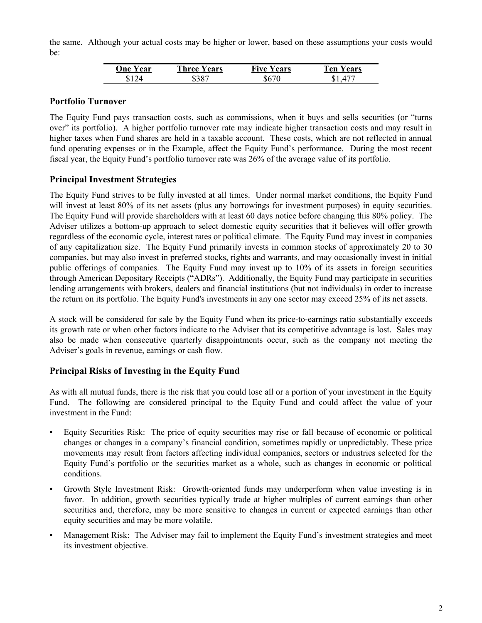the same. Although your actual costs may be higher or lower, based on these assumptions your costs would be:

| <b>One Year</b> | <b>Three Years</b> | <b>Five Years</b> | Ten Y.<br>Years |
|-----------------|--------------------|-------------------|-----------------|
|                 | 387                | \$670             |                 |

### **Portfolio Turnover**

The Equity Fund pays transaction costs, such as commissions, when it buys and sells securities (or "turns over" its portfolio). A higher portfolio turnover rate may indicate higher transaction costs and may result in higher taxes when Fund shares are held in a taxable account. These costs, which are not reflected in annual fund operating expenses or in the Example, affect the Equity Fund's performance. During the most recent fiscal year, the Equity Fund's portfolio turnover rate was 26% of the average value of its portfolio.

# **Principal Investment Strategies**

The Equity Fund strives to be fully invested at all times. Under normal market conditions, the Equity Fund will invest at least 80% of its net assets (plus any borrowings for investment purposes) in equity securities. The Equity Fund will provide shareholders with at least 60 days notice before changing this 80% policy. The Adviser utilizes a bottom-up approach to select domestic equity securities that it believes will offer growth regardless of the economic cycle, interest rates or political climate. The Equity Fund may invest in companies of any capitalization size. The Equity Fund primarily invests in common stocks of approximately 20 to 30 companies, but may also invest in preferred stocks, rights and warrants, and may occasionally invest in initial public offerings of companies. The Equity Fund may invest up to 10% of its assets in foreign securities through American Depositary Receipts ("ADRs"). Additionally, the Equity Fund may participate in securities lending arrangements with brokers, dealers and financial institutions (but not individuals) in order to increase the return on its portfolio. The Equity Fund's investments in any one sector may exceed 25% of its net assets.

A stock will be considered for sale by the Equity Fund when its price-to-earnings ratio substantially exceeds its growth rate or when other factors indicate to the Adviser that its competitive advantage is lost. Sales may also be made when consecutive quarterly disappointments occur, such as the company not meeting the Adviser's goals in revenue, earnings or cash flow.

# **Principal Risks of Investing in the Equity Fund**

As with all mutual funds, there is the risk that you could lose all or a portion of your investment in the Equity Fund. The following are considered principal to the Equity Fund and could affect the value of your investment in the Fund:

- Equity Securities Risk: The price of equity securities may rise or fall because of economic or political changes or changes in a company's financial condition, sometimes rapidly or unpredictably. These price movements may result from factors affecting individual companies, sectors or industries selected for the Equity Fund's portfolio or the securities market as a whole, such as changes in economic or political conditions.
- Growth Style Investment Risk: Growth-oriented funds may underperform when value investing is in favor. In addition, growth securities typically trade at higher multiples of current earnings than other securities and, therefore, may be more sensitive to changes in current or expected earnings than other equity securities and may be more volatile.
- Management Risk: The Adviser may fail to implement the Equity Fund's investment strategies and meet its investment objective.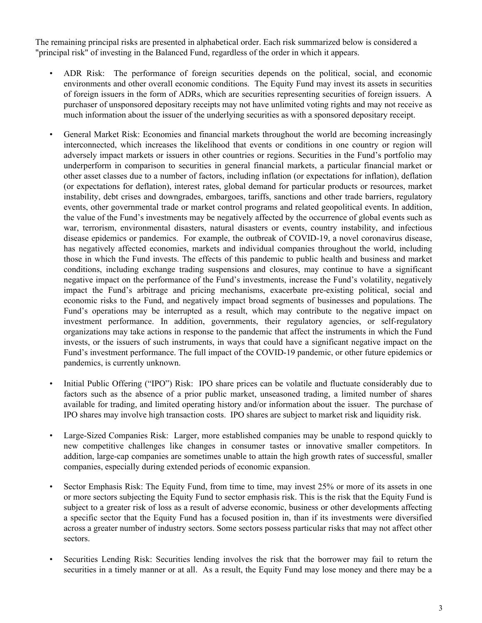The remaining principal risks are presented in alphabetical order. Each risk summarized below is considered a "principal risk" of investing in the Balanced Fund, regardless of the order in which it appears.

- ADR Risk: The performance of foreign securities depends on the political, social, and economic environments and other overall economic conditions. The Equity Fund may invest its assets in securities of foreign issuers in the form of ADRs, which are securities representing securities of foreign issuers. A purchaser of unsponsored depositary receipts may not have unlimited voting rights and may not receive as much information about the issuer of the underlying securities as with a sponsored depositary receipt.
- General Market Risk: Economies and financial markets throughout the world are becoming increasingly interconnected, which increases the likelihood that events or conditions in one country or region will adversely impact markets or issuers in other countries or regions. Securities in the Fund's portfolio may underperform in comparison to securities in general financial markets, a particular financial market or other asset classes due to a number of factors, including inflation (or expectations for inflation), deflation (or expectations for deflation), interest rates, global demand for particular products or resources, market instability, debt crises and downgrades, embargoes, tariffs, sanctions and other trade barriers, regulatory events, other governmental trade or market control programs and related geopolitical events. In addition, the value of the Fund's investments may be negatively affected by the occurrence of global events such as war, terrorism, environmental disasters, natural disasters or events, country instability, and infectious disease epidemics or pandemics. For example, the outbreak of COVID-19, a novel coronavirus disease, has negatively affected economies, markets and individual companies throughout the world, including those in which the Fund invests. The effects of this pandemic to public health and business and market conditions, including exchange trading suspensions and closures, may continue to have a significant negative impact on the performance of the Fund's investments, increase the Fund's volatility, negatively impact the Fund's arbitrage and pricing mechanisms, exacerbate pre-existing political, social and economic risks to the Fund, and negatively impact broad segments of businesses and populations. The Fund's operations may be interrupted as a result, which may contribute to the negative impact on investment performance. In addition, governments, their regulatory agencies, or self-regulatory organizations may take actions in response to the pandemic that affect the instruments in which the Fund invests, or the issuers of such instruments, in ways that could have a significant negative impact on the Fund's investment performance. The full impact of the COVID-19 pandemic, or other future epidemics or pandemics, is currently unknown.
- Initial Public Offering ("IPO") Risk: IPO share prices can be volatile and fluctuate considerably due to factors such as the absence of a prior public market, unseasoned trading, a limited number of shares available for trading, and limited operating history and/or information about the issuer. The purchase of IPO shares may involve high transaction costs. IPO shares are subject to market risk and liquidity risk.
- Large-Sized Companies Risk: Larger, more established companies may be unable to respond quickly to new competitive challenges like changes in consumer tastes or innovative smaller competitors. In addition, large-cap companies are sometimes unable to attain the high growth rates of successful, smaller companies, especially during extended periods of economic expansion.
- Sector Emphasis Risk: The Equity Fund, from time to time, may invest 25% or more of its assets in one or more sectors subjecting the Equity Fund to sector emphasis risk. This is the risk that the Equity Fund is subject to a greater risk of loss as a result of adverse economic, business or other developments affecting a specific sector that the Equity Fund has a focused position in, than if its investments were diversified across a greater number of industry sectors. Some sectors possess particular risks that may not affect other sectors.
- Securities Lending Risk: Securities lending involves the risk that the borrower may fail to return the securities in a timely manner or at all. As a result, the Equity Fund may lose money and there may be a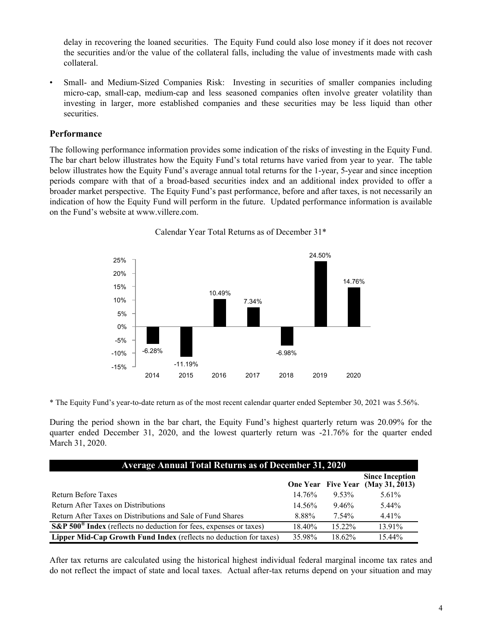delay in recovering the loaned securities. The Equity Fund could also lose money if it does not recover the securities and/or the value of the collateral falls, including the value of investments made with cash collateral.

• Small- and Medium-Sized Companies Risk: Investing in securities of smaller companies including micro-cap, small-cap, medium-cap and less seasoned companies often involve greater volatility than investing in larger, more established companies and these securities may be less liquid than other securities.

#### **Performance**

The following performance information provides some indication of the risks of investing in the Equity Fund. The bar chart below illustrates how the Equity Fund's total returns have varied from year to year. The table below illustrates how the Equity Fund's average annual total returns for the 1-year, 5-year and since inception periods compare with that of a broad-based securities index and an additional index provided to offer a broader market perspective. The Equity Fund's past performance, before and after taxes, is not necessarily an indication of how the Equity Fund will perform in the future. Updated performance information is available on the Fund's website at www.villere.com.



Calendar Year Total Returns as of December 31\*

\* The Equity Fund's year-to-date return as of the most recent calendar quarter ended September 30, 2021 was 5.56%.

During the period shown in the bar chart, the Equity Fund's highest quarterly return was 20.09% for the quarter ended December 31, 2020, and the lowest quarterly return was -21.76% for the quarter ended March 31, 2020.

| <b>Average Annual Total Returns as of December 31, 2020</b>                                         |           |           |                                                             |  |
|-----------------------------------------------------------------------------------------------------|-----------|-----------|-------------------------------------------------------------|--|
|                                                                                                     |           |           | <b>Since Inception</b><br>One Year Five Year (May 31, 2013) |  |
| Return Before Taxes                                                                                 | 14.76%    | 9.53%     | $5.61\%$                                                    |  |
| Return After Taxes on Distributions                                                                 | $14.56\%$ | 9.46%     | $5.44\%$                                                    |  |
| Return After Taxes on Distributions and Sale of Fund Shares                                         | 8.88%     | 7.54%     | 4.41%                                                       |  |
| $\overline{\text{S\&P}}$ 500 <sup>®</sup> Index (reflects no deduction for fees, expenses or taxes) | 18.40%    | $15.22\%$ | 13.91%                                                      |  |
| Lipper Mid-Cap Growth Fund Index (reflects no deduction for taxes)                                  | 35.98%    | $18.62\%$ | 15.44%                                                      |  |

After tax returns are calculated using the historical highest individual federal marginal income tax rates and do not reflect the impact of state and local taxes. Actual after-tax returns depend on your situation and may